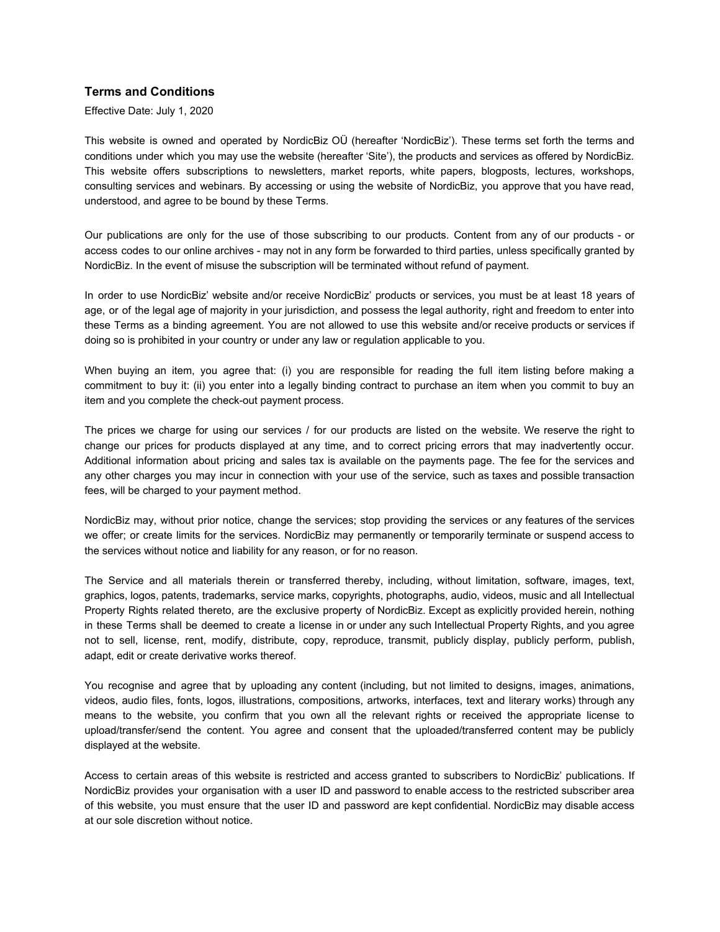## **Terms and Conditions**

Effective Date: July 1, 2020

This website is owned and operated by NordicBiz OÜ (hereafter 'NordicBiz'). These terms set forth the terms and conditions under which you may use the website (hereafter 'Site'), the products and services as offered by NordicBiz. This website offers subscriptions to newsletters, market reports, white papers, blogposts, lectures, workshops, consulting services and webinars. By accessing or using the website of NordicBiz, you approve that you have read, understood, and agree to be bound by these Terms.

Our publications are only for the use of those subscribing to our products. Content from any of our products - or access codes to our online archives - may not in any form be forwarded to third parties, unless specifically granted by NordicBiz. In the event of misuse the subscription will be terminated without refund of payment.

In order to use NordicBiz' website and/or receive NordicBiz' products or services, you must be at least 18 years of age, or of the legal age of majority in your jurisdiction, and possess the legal authority, right and freedom to enter into these Terms as a binding agreement. You are not allowed to use this website and/or receive products or services if doing so is prohibited in your country or under any law or regulation applicable to you.

When buying an item, you agree that: (i) you are responsible for reading the full item listing before making a commitment to buy it: (ii) you enter into a legally binding contract to purchase an item when you commit to buy an item and you complete the check-out payment process.

The prices we charge for using our services / for our products are listed on the website. We reserve the right to change our prices for products displayed at any time, and to correct pricing errors that may inadvertently occur. Additional information about pricing and sales tax is available on the payments page. The fee for the services and any other charges you may incur in connection with your use of the service, such as taxes and possible transaction fees, will be charged to your payment method.

NordicBiz may, without prior notice, change the services; stop providing the services or any features of the services we offer; or create limits for the services. NordicBiz may permanently or temporarily terminate or suspend access to the services without notice and liability for any reason, or for no reason.

The Service and all materials therein or transferred thereby, including, without limitation, software, images, text, graphics, logos, patents, trademarks, service marks, copyrights, photographs, audio, videos, music and all Intellectual Property Rights related thereto, are the exclusive property of NordicBiz. Except as explicitly provided herein, nothing in these Terms shall be deemed to create a license in or under any such Intellectual Property Rights, and you agree not to sell, license, rent, modify, distribute, copy, reproduce, transmit, publicly display, publicly perform, publish, adapt, edit or create derivative works thereof.

You recognise and agree that by uploading any content (including, but not limited to designs, images, animations, videos, audio files, fonts, logos, illustrations, compositions, artworks, interfaces, text and literary works) through any means to the website, you confirm that you own all the relevant rights or received the appropriate license to upload/transfer/send the content. You agree and consent that the uploaded/transferred content may be publicly displayed at the website.

Access to certain areas of this website is restricted and access granted to subscribers to NordicBiz' publications. If NordicBiz provides your organisation with a user ID and password to enable access to the restricted subscriber area of this website, you must ensure that the user ID and password are kept confidential. NordicBiz may disable access at our sole discretion without notice.